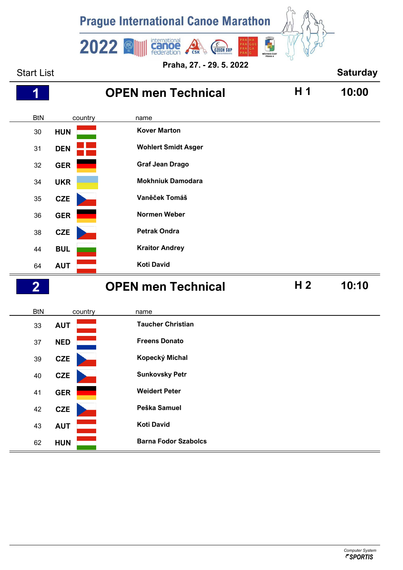

**Praha, 27. - 29. 5. 2022**

| <b>Start List</b> |            |                             |                | <b>Saturday</b> |
|-------------------|------------|-----------------------------|----------------|-----------------|
| 1                 |            | <b>OPEN men Technical</b>   | H 1            | 10:00           |
| <b>BtN</b>        | country    | name                        |                |                 |
| 30                | <b>HUN</b> | <b>Kover Marton</b>         |                |                 |
| 31                | <b>DEN</b> | <b>Wohlert Smidt Asger</b>  |                |                 |
| 32                | <b>GER</b> | <b>Graf Jean Drago</b>      |                |                 |
| 34                | <b>UKR</b> | <b>Mokhniuk Damodara</b>    |                |                 |
| 35                | <b>CZE</b> | Vaněček Tomáš               |                |                 |
| 36                | <b>GER</b> | <b>Normen Weber</b>         |                |                 |
| 38                | CZE        | <b>Petrak Ondra</b>         |                |                 |
| 44                | <b>BUL</b> | <b>Kraitor Andrey</b>       |                |                 |
| 64                | <b>AUT</b> | <b>Koti David</b>           |                |                 |
| $\overline{2}$    |            | <b>OPEN men Technical</b>   | H <sub>2</sub> | 10:10           |
| <b>BtN</b>        | country    | name                        |                |                 |
| 33                | <b>AUT</b> | <b>Taucher Christian</b>    |                |                 |
| 37                | <b>NED</b> | <b>Freens Donato</b>        |                |                 |
| 39                | <b>CZE</b> | Kopecký Michal              |                |                 |
| $40\,$            | <b>CZE</b> | <b>Sunkovsky Petr</b>       |                |                 |
| 41                | <b>GER</b> | <b>Weidert Peter</b>        |                |                 |
| 42                | CZE        | Peška Samuel                |                |                 |
| 43                | <b>AUT</b> | <b>Koti David</b>           |                |                 |
| 62                | <b>HUN</b> | <b>Barna Fodor Szabolcs</b> |                |                 |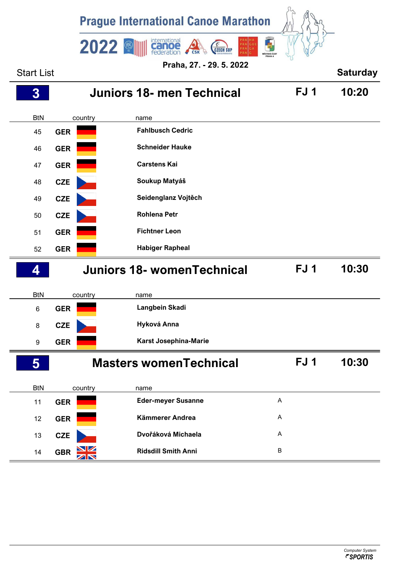

## BtN country name **GER Langbein Skadi CZE Hyková Anna GER Karst Josephina-Marie**

| 5          |            | <b>Masters womenTechnical</b> | FJ 1           | 10:30 |
|------------|------------|-------------------------------|----------------|-------|
| <b>BtN</b> | country    | name                          |                |       |
| 11         | <b>GER</b> | <b>Eder-meyer Susanne</b>     | A              |       |
| 12         | <b>GER</b> | Kämmerer Andrea               | $\overline{A}$ |       |
| 13         | <b>CZE</b> | Dvořáková Michaela            | A              |       |
| 14         | <b>GBR</b> | <b>Ridsdill Smith Anni</b>    | B              |       |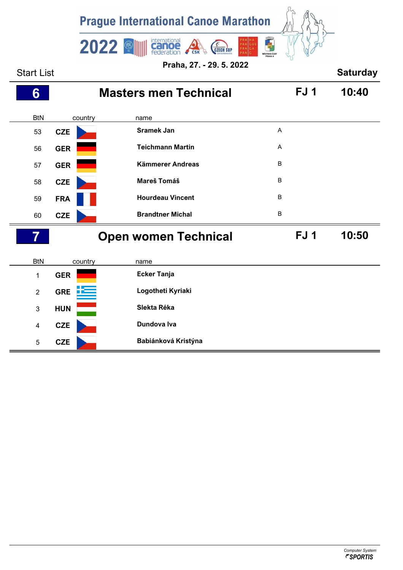

Start List **Saturday** BtN country name **Masters men Technical FJ 1 10:40 CZE Sramek Jan** <sup>A</sup> **GER Teichmann Martin** <sup>A</sup> **GER Kämmerer Andreas** <sup>B</sup> **CZE Mareš Tomáš** <sup>B</sup> **FRA Hourdeau Vincent** <sup>B</sup> **CZE Brandtner Michal** <sup>B</sup> BtN country name **Open women Technical FJ 1 10:50 GER Ecker Tanja GRE Logotheti Kyriaki**

**HUN Slekta Réka**

**CZE Dundova Iva**

**CZE Babiánková Kristýna**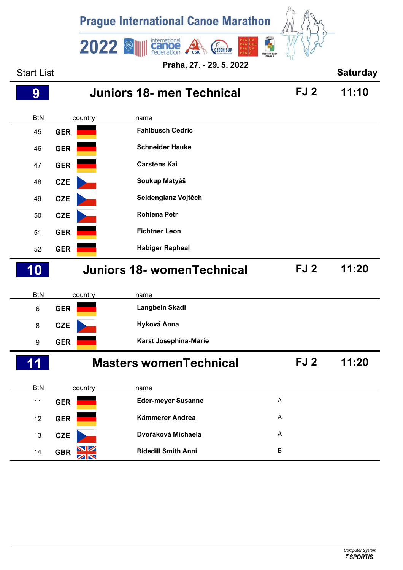